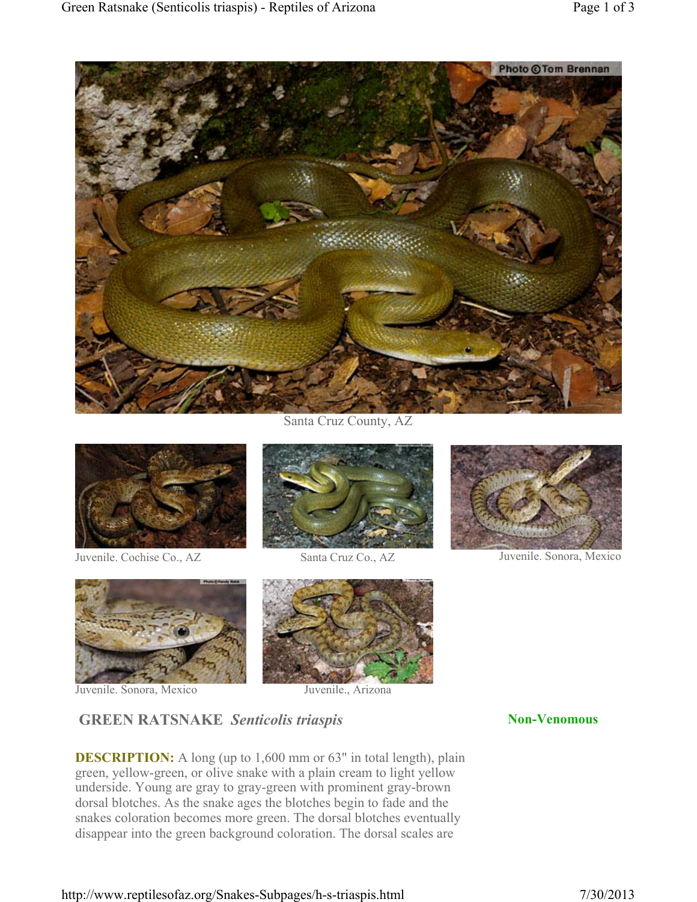

Santa Cruz County, AZ



Juvenile. Cochise Co., AZ Santa Cruz Co., AZ Juvenile. Sonora, Mexico







Juvenile. Sonora, Mexico Juvenile., Arizona



## **GREEN RATSNAKE** *Senticolis triaspis* **Non-Venomous**

**DESCRIPTION:** A long (up to 1,600 mm or 63" in total length), plain green, yellow-green, or olive snake with a plain cream to light yellow underside. Young are gray to gray-green with prominent gray-brown dorsal blotches. As the snake ages the blotches begin to fade and the snakes coloration becomes more green. The dorsal blotches eventually disappear into the green background coloration. The dorsal scales are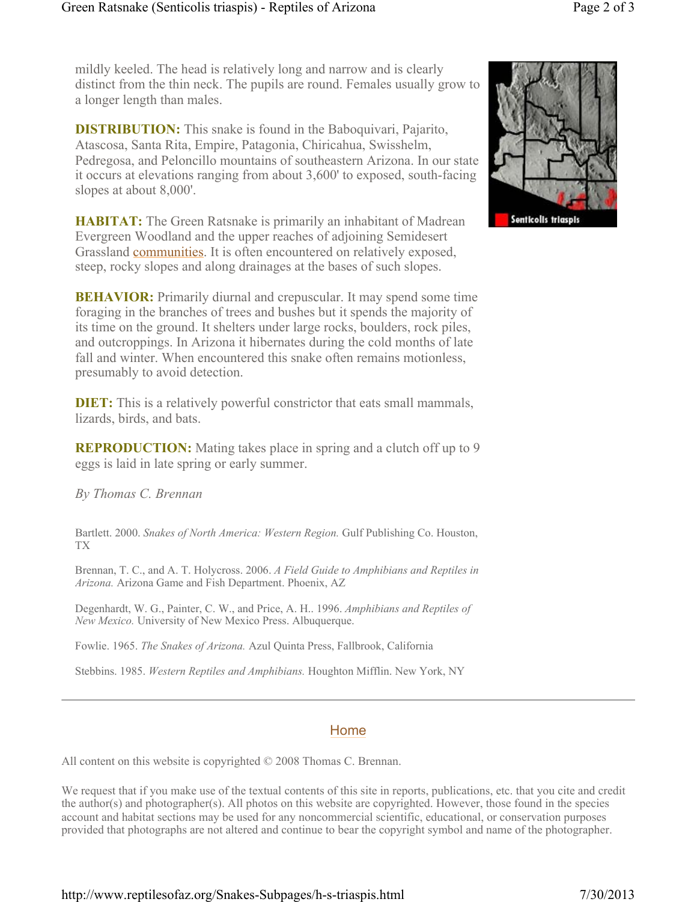mildly keeled. The head is relatively long and narrow and is clearly distinct from the thin neck. The pupils are round. Females usually grow to a longer length than males.

**DISTRIBUTION:** This snake is found in the Baboquivari, Pajarito, Atascosa, Santa Rita, Empire, Patagonia, Chiricahua, Swisshelm, Pedregosa, and Peloncillo mountains of southeastern Arizona. In our state it occurs at elevations ranging from about 3,600' to exposed, south-facing slopes at about 8,000'.

**HABITAT:** The Green Ratsnake is primarily an inhabitant of Madrean Evergreen Woodland and the upper reaches of adjoining Semidesert Grassland communities. It is often encountered on relatively exposed, steep, rocky slopes and along drainages at the bases of such slopes.

**BEHAVIOR:** Primarily diurnal and crepuscular. It may spend some time foraging in the branches of trees and bushes but it spends the majority of its time on the ground. It shelters under large rocks, boulders, rock piles, and outcroppings. In Arizona it hibernates during the cold months of late fall and winter. When encountered this snake often remains motionless, presumably to avoid detection.

**DIET:** This is a relatively powerful constrictor that eats small mammals, lizards, birds, and bats.

**REPRODUCTION:** Mating takes place in spring and a clutch off up to 9 eggs is laid in late spring or early summer.

*By Thomas C. Brennan*

Bartlett. 2000. *Snakes of North America: Western Region.* Gulf Publishing Co. Houston, TX

Brennan, T. C., and A. T. Holycross. 2006. *A Field Guide to Amphibians and Reptiles in Arizona.* Arizona Game and Fish Department. Phoenix, AZ

Degenhardt, W. G., Painter, C. W., and Price, A. H.. 1996. *Amphibians and Reptiles of New Mexico.* University of New Mexico Press. Albuquerque.

Fowlie. 1965. *The Snakes of Arizona.* Azul Quinta Press, Fallbrook, California

Stebbins. 1985. *Western Reptiles and Amphibians.* Houghton Mifflin. New York, NY

## Home

All content on this website is copyrighted  $\odot$  2008 Thomas C. Brennan.

We request that if you make use of the textual contents of this site in reports, publications, etc. that you cite and credit the author(s) and photographer(s). All photos on this website are copyrighted. However, those found in the species account and habitat sections may be used for any noncommercial scientific, educational, or conservation purposes provided that photographs are not altered and continue to bear the copyright symbol and name of the photographer.